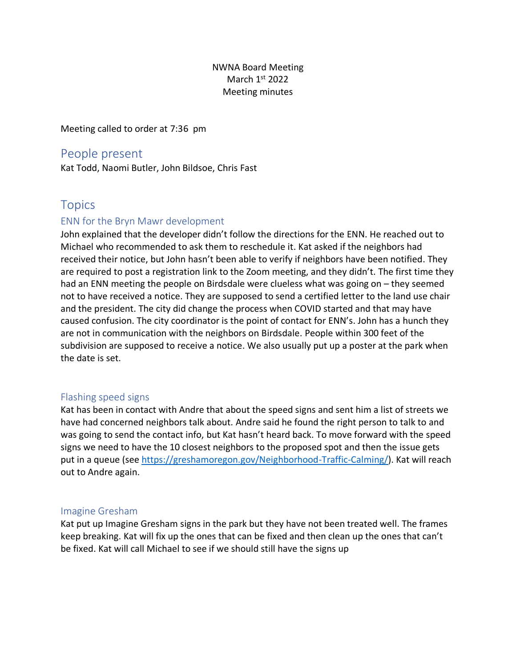## NWNA Board Meeting March 1st 2022 Meeting minutes

Meeting called to order at 7:36 pm

## People present

Kat Todd, Naomi Butler, John Bildsoe, Chris Fast

# **Topics**

## ENN for the Bryn Mawr development

John explained that the developer didn't follow the directions for the ENN. He reached out to Michael who recommended to ask them to reschedule it. Kat asked if the neighbors had received their notice, but John hasn't been able to verify if neighbors have been notified. They are required to post a registration link to the Zoom meeting, and they didn't. The first time they had an ENN meeting the people on Birdsdale were clueless what was going on – they seemed not to have received a notice. They are supposed to send a certified letter to the land use chair and the president. The city did change the process when COVID started and that may have caused confusion. The city coordinator is the point of contact for ENN's. John has a hunch they are not in communication with the neighbors on Birdsdale. People within 300 feet of the subdivision are supposed to receive a notice. We also usually put up a poster at the park when the date is set.

## Flashing speed signs

Kat has been in contact with Andre that about the speed signs and sent him a list of streets we have had concerned neighbors talk about. Andre said he found the right person to talk to and was going to send the contact info, but Kat hasn't heard back. To move forward with the speed signs we need to have the 10 closest neighbors to the proposed spot and then the issue gets put in a queue (see [https://greshamoregon.gov/Neighborhood-Traffic-Calming/\)](https://greshamoregon.gov/Neighborhood-Traffic-Calming/). Kat will reach out to Andre again.

## Imagine Gresham

Kat put up Imagine Gresham signs in the park but they have not been treated well. The frames keep breaking. Kat will fix up the ones that can be fixed and then clean up the ones that can't be fixed. Kat will call Michael to see if we should still have the signs up